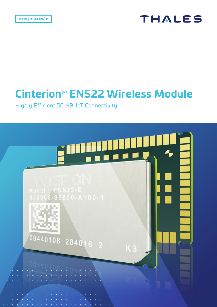# **THALES**

# **Cinterion® ENS22 Wireless Module**

Highly Efficient 5G NB-IoT Connectivity

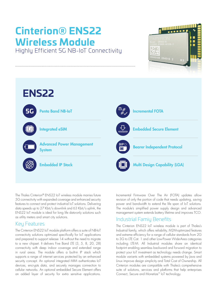# **Cinterion® ENS22 Wireless Module**

Highly Efficient 5G NB-IoT Connectivity





The Thales Cinterion® ENS22 IoT wireless module marries future 5G connectivity with expanded coverage and enhanced security features to connect and protect industrial IoT solutions. Delivering data speeds up to 27 Kbit/s downlink and 63 Kbit/s uplink, the ENS22 IoT module is ideal for long life data-only solutions such as utility meters and smart city solutions.

# Key Features

The Cinterion ENS22 IoT module platform offers a suite of NB-IoT connectivity solutions optimized specifically for IoT applications and prepared to support release 14 without the need to migrate to a new chipset. It delivers Five Band LTE (3, 5, 8, 20, 28) connectivity with deep indoor coverage and extended range in rural areas. The module offers a built-in IP stack which supports a range of internet services protected by an enhanced security concept. An optional integrated MIM authenticates IoT devices, encrypts data, and securely manages connection to cellular networks. An optional embedded Secure Element offers an added layer of security for extra sensitive applications.

Incremental Firmware Over The Air (FOTA) updates allow revision of only the portion of code that needs updating, saving power and bandwidth to extend the life span of IoT solutions. The module's simplified power supply design and advanced management system extends battery lifetime and improves TCO.

# Industrial Famiy Benefits

The Cinterion ENS22 IoT wireless module is part of Thales's Industrial family, which offers reliability, M2M-optimized features and extreme efficiency for a range of cellular standards from 2G to 3G to LTE Cat. 1 and other Low-Power Wide-Area categories including LTE-M. All Industrial modules share an identical footprint enabling seamless backward and forward migration to protect your IoT investment as technology needs change. Smart module variants with embedded systems powered by Java and Linux improve design simplicity and Total Cost of Ownership. All Cinterion modules are compatible with Thales's comprehensive suite of solutions, services and platforms that help enterprises Connect, Secure and Monetize™ IoT technology.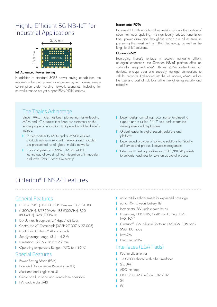# Highly Efficient 5G NB-IoT for Industrial Applications



#### IoT Advanced Power Saving

In addition to standard 3GPP power saving capabilities, the module's advanced power management system lowers energy consumption under varying network scenarios, including for networks that do not yet support PSM/eDRX features.

## The Thales Advantage

Since 1996, Thales has been pioneering market-leading M2M and IoT products that keep our customers on the leading edge of innovation. Unique value added benefits include:

- **T** Trusted partner to 450+ global MNOs ensures products evolve in sync with networks and modules are pre-certified for all global mobile networks
- **Core competency in MIM, SIM and eUICC** technology allows simplified integration with modules and lower Total Cost of Ownership

#### Incremental FOTA

Incremental FOTA updates allow revision of only the portion of code that needs updating. This significantly reduces transmission time, power draw and throughput, which are all essential in preserving the investment in NB-IoT technology as well as the long life of IoT solutions.

#### Optional eSIM

Leveraging Thales's heritage in securely managing billions of digital credentials, the Cinterion NB-IoT platform offers an optionally integrated eSIM. Thales eSIMs authenticate IoT devices, encrypt data and securely manage connections to cellular networks. Embedded into the IoT module, eSIMs reduce the size and cost of solutions while strengthening security and reliability.

- **I** Expert design consulting, local market engineering support and a skilled 24/7 help desk streamline development and deployment
- **I** Global leader in digital security solutions and platforms
- **I** Experienced provider of software solutions for Quality of Service and product lifecycle management
- **I** Extensive RF test capabilities and GCF/PTCRB pretests to validate readiness for solution approval process

# Cinterion® ENS22 Features

### General Features

- LTE Cat. NB1 (HD-FDD) 3GPP Release 13 / 14: B3
- (1800MHz), B5(850MHz), B8 (900MHz), B20 (800MHz), B28 (700MHz)
- DL/UL max throughput: 27 kbps / 63 kbps
- Control via AT Commands (3GPP 27.007 & 27.005)
- Control via Cinterion® AT commands
- Supply voltage range:  $(3.1 4.2 V)$
- Dimensions:  $27.6 \times 18.8 \times 2.7$  mm
- **Operating temperature Range: -40°C to + 85°C**

### Special Features

- **Power Saving Mode (PSM)**
- **Extended Discontineous Reception (eDRX)**
- **Multi-tone and single-tone UL**
- **I** Guard-band, in-band and stand-alone operation
- **FW** update via UART
- **up to 23db enhancement for expanded coverage**
- up to 10~15 years battery life
- I Incremental FW update over the air
- IP services, UDP, DTLS, CoAP, non-IP, Ping, IPv4, IPv6, TCP\*
- **Cinterion® LGA industrial footprint (SMT-LGA, 106 pads)**
- SMS PDU mode
- $L_{W}$  $\wedge$
- **I** Integrated eSIM

## Interfaces (LGA Pads)

- **Pad for LTE antenna**
- 13 GPIO's shared with other interfaces
- $2 \times$  UART
- **ADC** interface
- UICC / U-SIM interface 1.8V / 3V
- **I** SPI
- $|$   $|^{2}C$